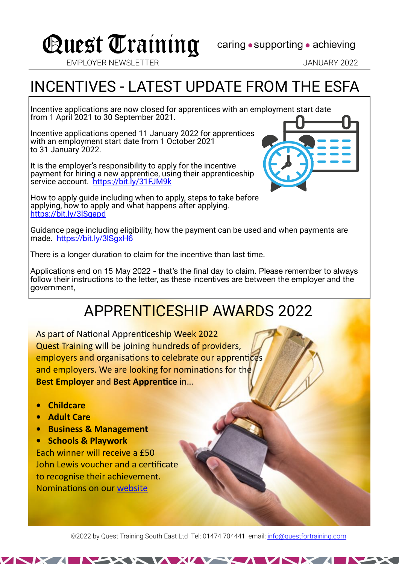## Quest Training caring . supporting . achieving

EMPLOYER NEWSLETTER JANUARY 2022

## INCENTIVES - LATEST UPDATE FROM THE ESFA

Incentive applications are now closed for apprentices with an employment start date from 1 April 2021 to 30 September 2021.

Incentive applications opened 11 January 2022 for apprentices with an employment start date from 1 October 2021 to 31 January 2022.

It is the employer's responsibility to apply for the incentive payment for hiring a new apprentice, using their apprenticeship service account. <https://bit.ly/31FJM9k>

How to apply guide including when to apply, steps to take before applying, how to apply and what happens after applying. <https://bit.ly/3lSqapd>

Guidance page including eligibility, how the payment can be used and when payments are made. <https://bit.ly/3lSgxH6>

There is a longer duration to claim for the incentive than last time.

Applications end on 15 May 2022 - that's the final day to claim. Please remember to always follow their instructions to the letter, as these incentives are between the employer and the government,

### APPRENTICESHIP AWARDS 2022

As part of National Apprenticeship Week 2022 Quest Training will be joining hundreds of providers, employers and organisations to celebrate our apprentices and employers. We are looking for nominations for the **Best Employer and Best Apprentice in...** 

- **Childcare**
- **Adult Care**
- **Business & Management**
- **Schools & Playwork**

Each winner will receive a £50 John Lewis voucher and a certificate to recognise their achievement. Nominations on our [website](https://www.questfortraining.com/apprentice-nominations-2022)

©2022 by Quest Training South East Ltd Tel: 01474 704441 email: [info@questfortraining.com](mailto:info@questfortraining.com)